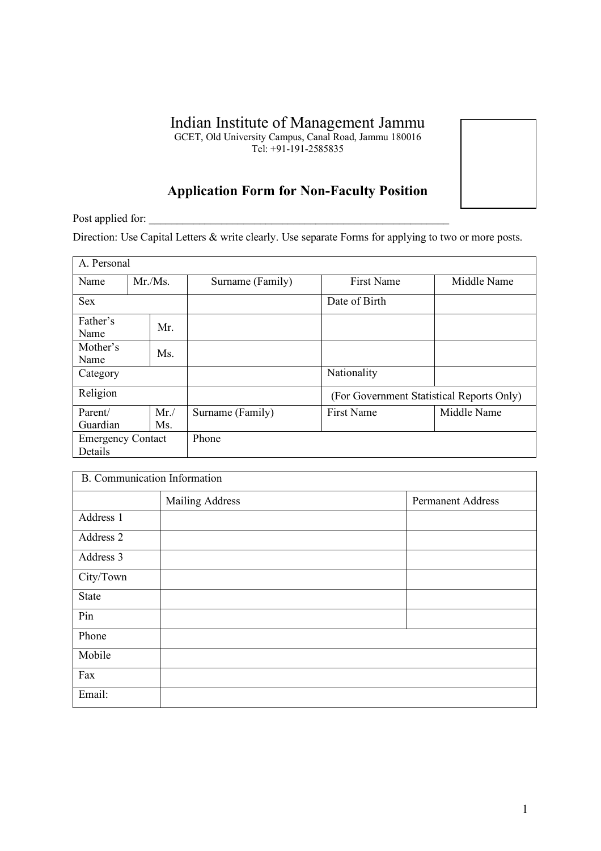# Indian Institute of Management Jammu

GCET, Old University Campus, Canal Road, Jammu 180016

Tel: +91-191-2585835

# **Application Form for Non-Faculty Position**

Post applied for:

Direction: Use Capital Letters & write clearly. Use separate Forms for applying to two or more posts.

| A. Personal                         |        |            |                  |                                           |             |  |
|-------------------------------------|--------|------------|------------------|-------------------------------------------|-------------|--|
| Name                                | Mr.Ms. |            | Surname (Family) | <b>First Name</b>                         | Middle Name |  |
| <b>Sex</b>                          |        |            |                  | Date of Birth                             |             |  |
| Father's<br>Name                    |        | Mr.        |                  |                                           |             |  |
| Mother's<br>Name                    |        | Ms.        |                  |                                           |             |  |
| Category                            |        |            |                  | Nationality                               |             |  |
| Religion                            |        |            |                  | (For Government Statistical Reports Only) |             |  |
| Parent/<br>Guardian                 |        | Mr.<br>Ms. | Surname (Family) | <b>First Name</b>                         | Middle Name |  |
| <b>Emergency Contact</b><br>Details |        |            | Phone            |                                           |             |  |

| B. Communication Information |                 |                          |  |  |  |
|------------------------------|-----------------|--------------------------|--|--|--|
|                              | Mailing Address | <b>Permanent Address</b> |  |  |  |
| Address 1                    |                 |                          |  |  |  |
| Address 2                    |                 |                          |  |  |  |
| Address 3                    |                 |                          |  |  |  |
| City/Town                    |                 |                          |  |  |  |
| State                        |                 |                          |  |  |  |
| Pin                          |                 |                          |  |  |  |
| Phone                        |                 |                          |  |  |  |
| Mobile                       |                 |                          |  |  |  |
| Fax                          |                 |                          |  |  |  |
| Email:                       |                 |                          |  |  |  |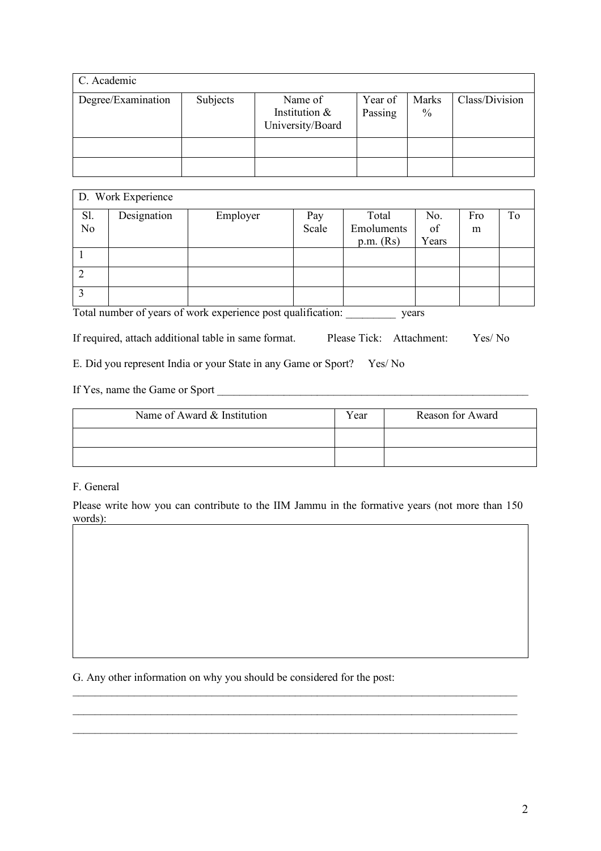| C. Academic        |          |                                              |                    |                               |                |  |
|--------------------|----------|----------------------------------------------|--------------------|-------------------------------|----------------|--|
| Degree/Examination | Subjects | Name of<br>Institution &<br>University/Board | Year of<br>Passing | <b>Marks</b><br>$\frac{0}{0}$ | Class/Division |  |
|                    |          |                                              |                    |                               |                |  |
|                    |          |                                              |                    |                               |                |  |

| D. Work Experience |             |          |       |             |       |     |    |
|--------------------|-------------|----------|-------|-------------|-------|-----|----|
| Sl.                | Designation | Employer | Pay   | Total       | No.   | Fro | Tо |
| N <sub>o</sub>     |             |          | Scale | Emoluments  | of    | m   |    |
|                    |             |          |       | $p.m.$ (Rs) | Years |     |    |
|                    |             |          |       |             |       |     |    |
|                    |             |          |       |             |       |     |    |
| ◠                  |             |          |       |             |       |     |    |

Total number of years of work experience post qualification: \_\_\_\_\_\_\_\_\_ years

If required, attach additional table in same format. Please Tick: Attachment: Yes/ No

E. Did you represent India or your State in any Game or Sport? Yes/ No

If Yes, name the Game or Sport \_\_\_\_\_\_\_\_\_\_\_\_\_\_\_\_\_\_\_\_\_\_\_\_\_\_\_\_\_\_\_\_\_\_\_\_\_\_\_\_\_\_\_\_\_\_\_\_\_\_\_\_\_\_\_\_

| Name of Award & Institution | Year | Reason for Award |
|-----------------------------|------|------------------|
|                             |      |                  |
|                             |      |                  |

### F. General

Please write how you can contribute to the IIM Jammu in the formative years (not more than 150 words):

 $\mathcal{L}_\mathcal{L} = \{ \mathcal{L}_\mathcal{L} = \{ \mathcal{L}_\mathcal{L} = \{ \mathcal{L}_\mathcal{L} = \{ \mathcal{L}_\mathcal{L} = \{ \mathcal{L}_\mathcal{L} = \{ \mathcal{L}_\mathcal{L} = \{ \mathcal{L}_\mathcal{L} = \{ \mathcal{L}_\mathcal{L} = \{ \mathcal{L}_\mathcal{L} = \{ \mathcal{L}_\mathcal{L} = \{ \mathcal{L}_\mathcal{L} = \{ \mathcal{L}_\mathcal{L} = \{ \mathcal{L}_\mathcal{L} = \{ \mathcal{L}_\mathcal{$  $\mathcal{L}_\mathcal{L} = \{ \mathcal{L}_\mathcal{L} = \{ \mathcal{L}_\mathcal{L} = \{ \mathcal{L}_\mathcal{L} = \{ \mathcal{L}_\mathcal{L} = \{ \mathcal{L}_\mathcal{L} = \{ \mathcal{L}_\mathcal{L} = \{ \mathcal{L}_\mathcal{L} = \{ \mathcal{L}_\mathcal{L} = \{ \mathcal{L}_\mathcal{L} = \{ \mathcal{L}_\mathcal{L} = \{ \mathcal{L}_\mathcal{L} = \{ \mathcal{L}_\mathcal{L} = \{ \mathcal{L}_\mathcal{L} = \{ \mathcal{L}_\mathcal{$ \_\_\_\_\_\_\_\_\_\_\_\_\_\_\_\_\_\_\_\_\_\_\_\_\_\_\_\_\_\_\_\_\_\_\_\_\_\_\_\_\_\_\_\_\_\_\_\_\_\_\_\_\_\_\_\_\_\_\_\_\_\_\_\_\_\_\_\_\_\_\_\_\_\_\_\_\_\_\_\_

G. Any other information on why you should be considered for the post: